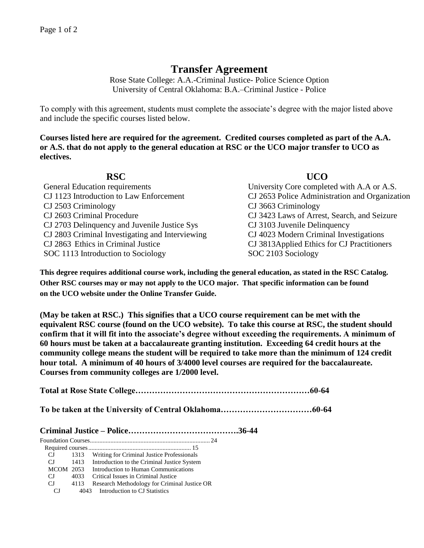## **Transfer Agreement**

Rose State College: A.A.-Criminal Justice- Police Science Option University of Central Oklahoma: B.A.–Criminal Justice - Police

To comply with this agreement, students must complete the associate's degree with the major listed above and include the specific courses listed below.

**Courses listed here are required for the agreement. Credited courses completed as part of the A.A. or A.S. that do not apply to the general education at RSC or the UCO major transfer to UCO as electives.**

## **RSC UCO**  General Education requirements University Core completed with A.A or A.S. CJ 1123 Introduction to Law Enforcement CJ 2653 Police Administration and Organization CJ 2503 Criminology CJ 3663 Criminology CJ 2603 Criminal Procedure CJ 3423 Laws of Arrest, Search, and Seizure CJ 2703 Delinquency and Juvenile Justice Sys CJ 3103 Juvenile Delinquency CJ 2803 Criminal Investigating and Interviewing CJ 4023 Modern Criminal Investigations CJ 2863Ethics in Criminal Justice CJ 3813Applied Ethics for CJ Practitioners SOC 1113 Introduction to Sociology SOC 2103 Sociology

**This degree requires additional course work, including the general education, as stated in the RSC Catalog. Other RSC courses may or may not apply to the UCO major. That specific information can be found on the UCO website under the Online Transfer Guide.**

**(May be taken at RSC.) This signifies that a UCO course requirement can be met with the equivalent RSC course (found on the UCO website). To take this course at RSC, the student should confirm that it will fit into the associate's degree without exceeding the requirements. A minimum of 60 hours must be taken at a baccalaureate granting institution. Exceeding 64 credit hours at the community college means the student will be required to take more than the minimum of 124 credit hour total. A minimum of 40 hours of 3/4000 level courses are required for the baccalaureate. Courses from community colleges are 1/2000 level.**

**Total at Rose State College………………………………………………………60-64 To be taken at the University of Central Oklahoma……………………………60-64 Criminal Justice – Police………………………………….36-44** Foundation Courses............................................................................ 24 Required courses................................................................. 15 CJ 1313 Writing for Criminal Justice Professionals CJ 1413 Introduction to the Criminal Justice System MCOM 2053 Introduction to Human Communications CJ 4033 Critical Issues in Criminal Justice CJ 4113 Research Methodology for Criminal Justice OR

CJ 4043 Introduction to CJ Statistics